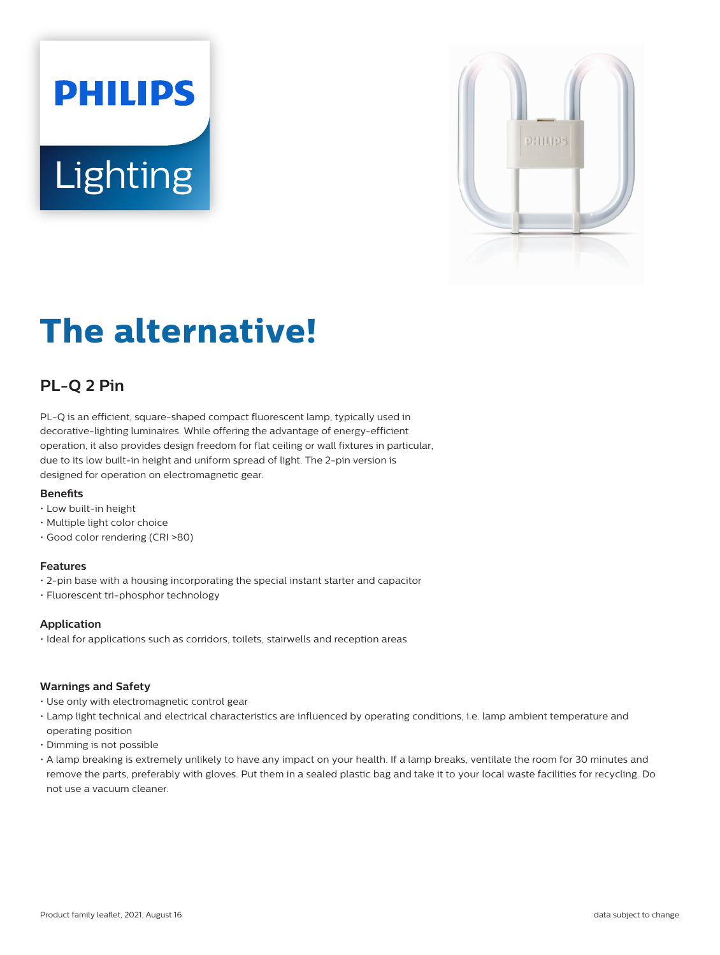# **PHILIPS Lighting**



# **The alternative!**

# **PL-Q 2 Pin**

PL-Q is an efficient, square-shaped compact fluorescent lamp, typically used in decorative-lighting luminaires. While offering the advantage of energy-efficient operation, it also provides design freedom for flat ceiling or wall fixtures in particular, due to its low built-in height and uniform spread of light. The 2-pin version is designed for operation on electromagnetic gear.

# **Benefits**

- Low built-in height
- Multiple light color choice
- Good color rendering (CRI >80)

### **Features**

- 2-pin base with a housing incorporating the special instant starter and capacitor
- Fluorescent tri-phosphor technology

# **Application**

• Ideal for applications such as corridors, toilets, stairwells and reception areas

### **Warnings and Safety**

- Use only with electromagnetic control gear
- Lamp light technical and electrical characteristics are influenced by operating conditions, i.e. lamp ambient temperature and operating position
- Dimming is not possible
- A lamp breaking is extremely unlikely to have any impact on your health. If a lamp breaks, ventilate the room for 30 minutes and remove the parts, preferably with gloves. Put them in a sealed plastic bag and take it to your local waste facilities for recycling. Do not use a vacuum cleaner.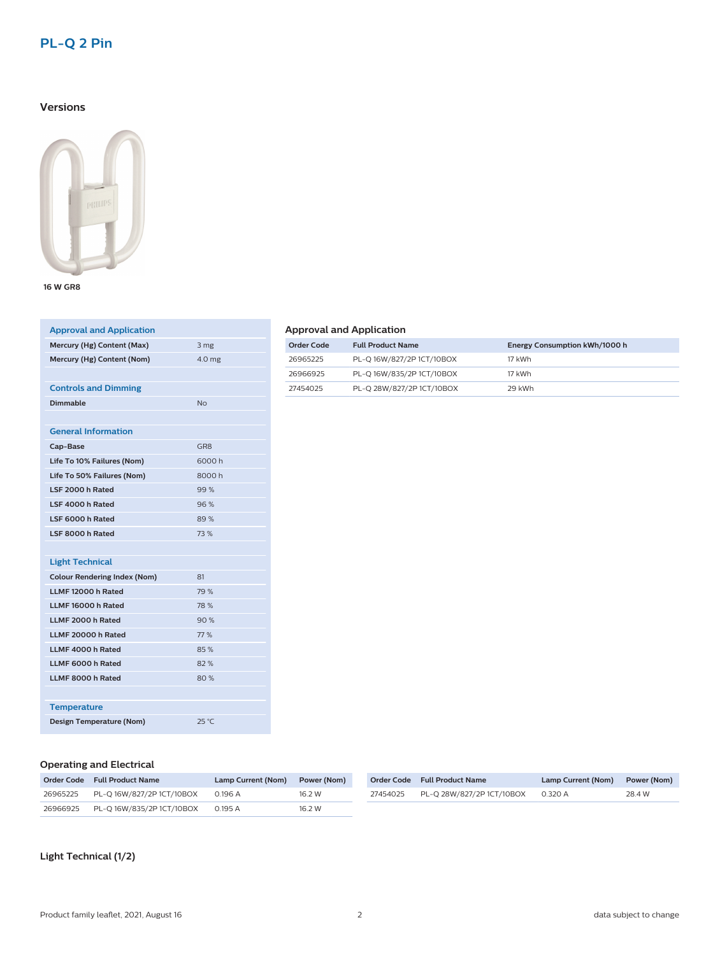# **PL-Q 2 Pin**

# **Versions**



**16 W GR8**

| <b>Approval and Application</b>     |                   |
|-------------------------------------|-------------------|
| Mercury (Hg) Content (Max)          | 3 mg              |
| Mercury (Hg) Content (Nom)          | 4.0 <sub>mg</sub> |
|                                     |                   |
| <b>Controls and Dimming</b>         |                   |
| <b>Dimmable</b>                     | No                |
|                                     |                   |
| <b>General Information</b>          |                   |
| Cap-Base                            | GR <sub>8</sub>   |
| Life To 10% Failures (Nom)          | 6000h             |
| Life To 50% Failures (Nom)          | 8000h             |
| <b>ISE 2000 h Rated</b>             | 99%               |
| LSF 4000 h Rated                    | 96%               |
| LSF 6000 h Rated                    | 89%               |
| LSF 8000 h Rated                    | 73 %              |
|                                     |                   |
| <b>Light Technical</b>              |                   |
| <b>Colour Rendering Index (Nom)</b> | 81                |
| LLMF 12000 h Rated                  | 79 %              |
| LLMF 16000 h Rated                  | 78 %              |
| LLMF 2000 h Rated                   | 90%               |
| LLMF 20000 h Rated                  | 77 %              |
| LLMF 4000 h Rated                   | 85%               |
| LLMF 6000 h Rated                   | 82%               |
| LLMF 8000 h Rated                   | 80%               |
|                                     |                   |
| <b>Temperature</b>                  |                   |
| <b>Design Temperature (Nom)</b>     | $25^{\circ}$ C    |
|                                     |                   |

# **Approval and Application**

| Order Code | <b>Full Product Name</b>  | Energy Consumption kWh/1000 h |
|------------|---------------------------|-------------------------------|
| 26965225   | PL-Q 16W/827/2P 1CT/10BOX | 17 kWh                        |
| 26966925   | PL-Q 16W/835/2P 1CT/10BOX | 17 kWh                        |
| 27454025   | PL-Q 28W/827/2P 1CT/10BOX | 29 kWh                        |

## **Operating and Electrical**

|          | Order Code Full Product Name | Lamp Current (Nom) | Power (Nom) |
|----------|------------------------------|--------------------|-------------|
| 26965225 | PL-O 16W/827/2P 1CT/10BOX    | 0.196 A            | 16 2 W      |
| 26966925 | PL-O 16W/835/2P 1CT/10BOX    | 0.195A             | 16.2 W      |

|          | Order Code Full Product Name | Lamp Current (Nom) | Power (Nom) |
|----------|------------------------------|--------------------|-------------|
| 27454025 | PL-Q 28W/827/2P 1CT/10BOX    | 0.320 A            | 28.4 W      |

**Light Technical (1/2)**